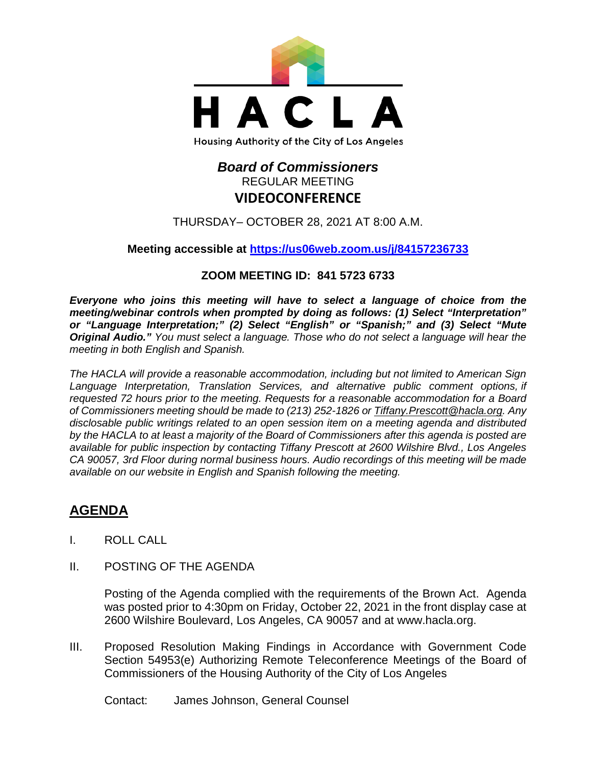

## *Board of Commissioners* REGULAR MEETING **VIDEOCONFERENCE**

THURSDAY– OCTOBER 28, 2021 AT 8:00 A.M.

**Meeting accessible at<https://us06web.zoom.us/j/84157236733>**

## **ZOOM MEETING ID: 841 5723 6733**

*Everyone who joins this meeting will have to select a language of choice from the meeting/webinar controls when prompted by doing as follows: (1) Select "Interpretation" or "Language Interpretation;" (2) Select "English" or "Spanish;" and (3) Select "Mute Original Audio." You must select a language. Those who do not select a language will hear the meeting in both English and Spanish.*

*The HACLA will provide a reasonable accommodation, including but not limited to American Sign Language Interpretation, Translation Services, and alternative public comment options, if requested 72 hours prior to the meeting. Requests for a reasonable accommodation for a Board of Commissioners meeting should be made to (213) 252-1826 or Tiffany.Prescott@hacla.org. Any disclosable public writings related to an open session item on a meeting agenda and distributed by the HACLA to at least a majority of the Board of Commissioners after this agenda is posted are available for public inspection by contacting Tiffany Prescott at 2600 Wilshire Blvd., Los Angeles CA 90057, 3rd Floor during normal business hours. Audio recordings of this meeting will be made available on our website in English and Spanish following the meeting.*

# **AGENDA**

- I. ROLL CALL
- II. POSTING OF THE AGENDA

Posting of the Agenda complied with the requirements of the Brown Act. Agenda was posted prior to 4:30pm on Friday, October 22, 2021 in the front display case at 2600 Wilshire Boulevard, Los Angeles, CA 90057 and at [www.hacla.org.](http://www.hacla.org/)

III. Proposed Resolution Making Findings in Accordance with Government Code Section 54953(e) Authorizing Remote Teleconference Meetings of the Board of Commissioners of the Housing Authority of the City of Los Angeles

Contact: James Johnson, General Counsel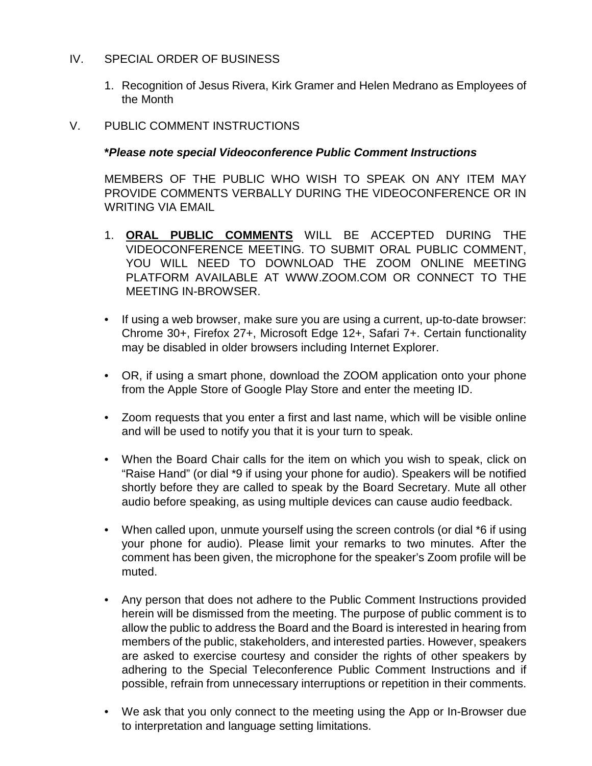## IV. SPECIAL ORDER OF BUSINESS

- 1. Recognition of Jesus Rivera, Kirk Gramer and Helen Medrano as Employees of the Month
- V. PUBLIC COMMENT INSTRUCTIONS

## **\****Please note special Videoconference Public Comment Instructions*

MEMBERS OF THE PUBLIC WHO WISH TO SPEAK ON ANY ITEM MAY PROVIDE COMMENTS VERBALLY DURING THE VIDEOCONFERENCE OR IN WRITING VIA EMAIL

- 1. **ORAL PUBLIC COMMENTS** WILL BE ACCEPTED DURING THE VIDEOCONFERENCE MEETING. TO SUBMIT ORAL PUBLIC COMMENT, YOU WILL NEED TO DOWNLOAD THE ZOOM ONLINE MEETING PLATFORM AVAILABLE AT WWW.ZOOM.COM OR CONNECT TO THE MEETING IN-BROWSER.
- If using a web browser, make sure you are using a current, up-to-date browser: Chrome 30+, Firefox 27+, Microsoft Edge 12+, Safari 7+. Certain functionality may be disabled in older browsers including Internet Explorer.
- OR, if using a smart phone, download the ZOOM application onto your phone from the Apple Store of Google Play Store and enter the meeting ID.
- Zoom requests that you enter a first and last name, which will be visible online and will be used to notify you that it is your turn to speak.
- When the Board Chair calls for the item on which you wish to speak, click on "Raise Hand" (or dial \*9 if using your phone for audio). Speakers will be notified shortly before they are called to speak by the Board Secretary. Mute all other audio before speaking, as using multiple devices can cause audio feedback.
- When called upon, unmute yourself using the screen controls (or dial \*6 if using your phone for audio). Please limit your remarks to two minutes. After the comment has been given, the microphone for the speaker's Zoom profile will be muted.
- Any person that does not adhere to the Public Comment Instructions provided herein will be dismissed from the meeting. The purpose of public comment is to allow the public to address the Board and the Board is interested in hearing from members of the public, stakeholders, and interested parties. However, speakers are asked to exercise courtesy and consider the rights of other speakers by adhering to the Special Teleconference Public Comment Instructions and if possible, refrain from unnecessary interruptions or repetition in their comments.
- We ask that you only connect to the meeting using the App or In-Browser due to interpretation and language setting limitations.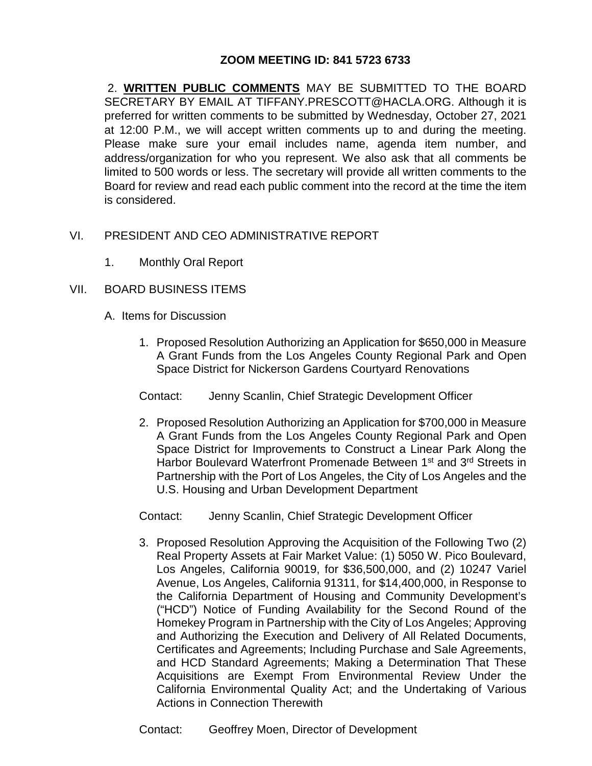## **ZOOM MEETING ID: 841 5723 6733**

2. **WRITTEN PUBLIC COMMENTS** MAY BE SUBMITTED TO THE BOARD SECRETARY BY EMAIL AT TIFFANY.PRESCOTT@HACLA.ORG. Although it is preferred for written comments to be submitted by Wednesday, October 27, 2021 at 12:00 P.M., we will accept written comments up to and during the meeting. Please make sure your email includes name, agenda item number, and address/organization for who you represent. We also ask that all comments be limited to 500 words or less. The secretary will provide all written comments to the Board for review and read each public comment into the record at the time the item is considered.

## VI. PRESIDENT AND CEO ADMINISTRATIVE REPORT

1. Monthly Oral Report

#### VII. BOARD BUSINESS ITEMS

- A. Items for Discussion
	- 1. Proposed Resolution Authorizing an Application for \$650,000 in Measure A Grant Funds from the Los Angeles County Regional Park and Open Space District for Nickerson Gardens Courtyard Renovations

Contact: Jenny Scanlin, Chief Strategic Development Officer

2. Proposed Resolution Authorizing an Application for \$700,000 in Measure A Grant Funds from the Los Angeles County Regional Park and Open Space District for Improvements to Construct a Linear Park Along the Harbor Boulevard Waterfront Promenade Between 1<sup>st</sup> and 3<sup>rd</sup> Streets in Partnership with the Port of Los Angeles, the City of Los Angeles and the U.S. Housing and Urban Development Department

Contact: Jenny Scanlin, Chief Strategic Development Officer

3. Proposed Resolution Approving the Acquisition of the Following Two (2) Real Property Assets at Fair Market Value: (1) 5050 W. Pico Boulevard, Los Angeles, California 90019, for \$36,500,000, and (2) 10247 Variel Avenue, Los Angeles, California 91311, for \$14,400,000, in Response to the California Department of Housing and Community Development's ("HCD") Notice of Funding Availability for the Second Round of the Homekey Program in Partnership with the City of Los Angeles; Approving and Authorizing the Execution and Delivery of All Related Documents, Certificates and Agreements; Including Purchase and Sale Agreements, and HCD Standard Agreements; Making a Determination That These Acquisitions are Exempt From Environmental Review Under the California Environmental Quality Act; and the Undertaking of Various Actions in Connection Therewith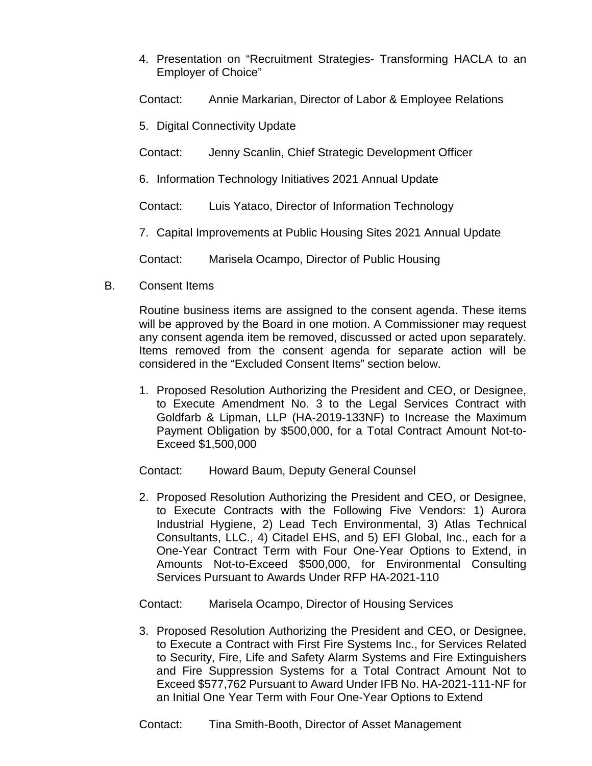4. Presentation on "Recruitment Strategies- Transforming HACLA to an Employer of Choice"

Contact: Annie Markarian, Director of Labor & Employee Relations

- 5. Digital Connectivity Update
- Contact: Jenny Scanlin, Chief Strategic Development Officer
- 6. Information Technology Initiatives 2021 Annual Update

Contact: Luis Yataco, Director of Information Technology

7. Capital Improvements at Public Housing Sites 2021 Annual Update

Contact: Marisela Ocampo, Director of Public Housing

B. Consent Items

Routine business items are assigned to the consent agenda. These items will be approved by the Board in one motion. A Commissioner may request any consent agenda item be removed, discussed or acted upon separately. Items removed from the consent agenda for separate action will be considered in the "Excluded Consent Items" section below.

1. Proposed Resolution Authorizing the President and CEO, or Designee, to Execute Amendment No. 3 to the Legal Services Contract with Goldfarb & Lipman, LLP (HA-2019-133NF) to Increase the Maximum Payment Obligation by \$500,000, for a Total Contract Amount Not-to-Exceed \$1,500,000

Contact: Howard Baum, Deputy General Counsel

2. Proposed Resolution Authorizing the President and CEO, or Designee, to Execute Contracts with the Following Five Vendors: 1) Aurora Industrial Hygiene, 2) Lead Tech Environmental, 3) Atlas Technical Consultants, LLC., 4) Citadel EHS, and 5) EFI Global, Inc., each for a One-Year Contract Term with Four One-Year Options to Extend, in Amounts Not-to-Exceed \$500,000, for Environmental Consulting Services Pursuant to Awards Under RFP HA-2021-110

Contact: Marisela Ocampo, Director of Housing Services

3. Proposed Resolution Authorizing the President and CEO, or Designee, to Execute a Contract with First Fire Systems Inc., for Services Related to Security, Fire, Life and Safety Alarm Systems and Fire Extinguishers and Fire Suppression Systems for a Total Contract Amount Not to Exceed \$577,762 Pursuant to Award Under IFB No. HA-2021-111-NF for an Initial One Year Term with Four One-Year Options to Extend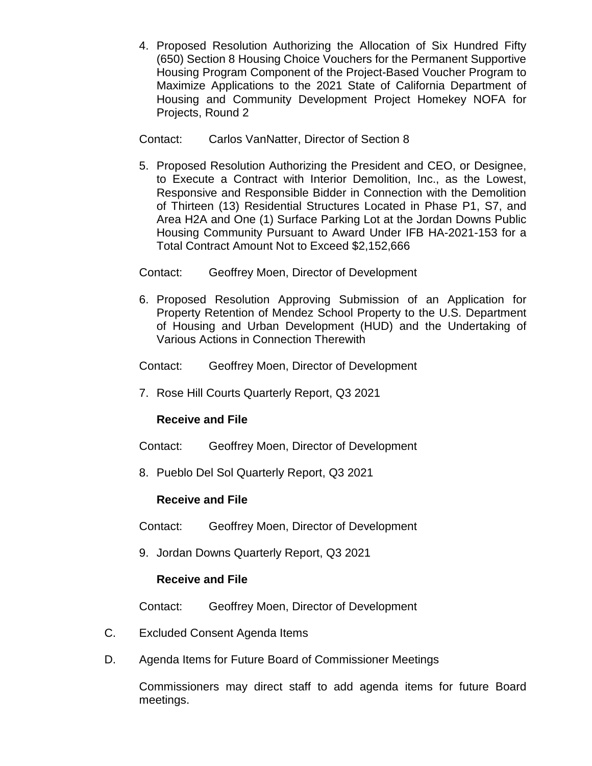4. Proposed Resolution Authorizing the Allocation of Six Hundred Fifty (650) Section 8 Housing Choice Vouchers for the Permanent Supportive Housing Program Component of the Project-Based Voucher Program to Maximize Applications to the 2021 State of California Department of Housing and Community Development Project Homekey NOFA for Projects, Round 2

Contact: Carlos VanNatter, Director of Section 8

- 5. Proposed Resolution Authorizing the President and CEO, or Designee, to Execute a Contract with Interior Demolition, Inc., as the Lowest, Responsive and Responsible Bidder in Connection with the Demolition of Thirteen (13) Residential Structures Located in Phase P1, S7, and Area H2A and One (1) Surface Parking Lot at the Jordan Downs Public Housing Community Pursuant to Award Under IFB HA-2021-153 for a Total Contract Amount Not to Exceed \$2,152,666
- Contact: Geoffrey Moen, Director of Development
- 6. Proposed Resolution Approving Submission of an Application for Property Retention of Mendez School Property to the U.S. Department of Housing and Urban Development (HUD) and the Undertaking of Various Actions in Connection Therewith
- Contact: Geoffrey Moen, Director of Development
- 7. Rose Hill Courts Quarterly Report, Q3 2021

## **Receive and File**

- Contact: Geoffrey Moen, Director of Development
- 8. Pueblo Del Sol Quarterly Report, Q3 2021

## **Receive and File**

- Contact: Geoffrey Moen, Director of Development
- 9. Jordan Downs Quarterly Report, Q3 2021

## **Receive and File**

Contact: Geoffrey Moen, Director of Development

- C. Excluded Consent Agenda Items
- D. Agenda Items for Future Board of Commissioner Meetings

Commissioners may direct staff to add agenda items for future Board meetings.